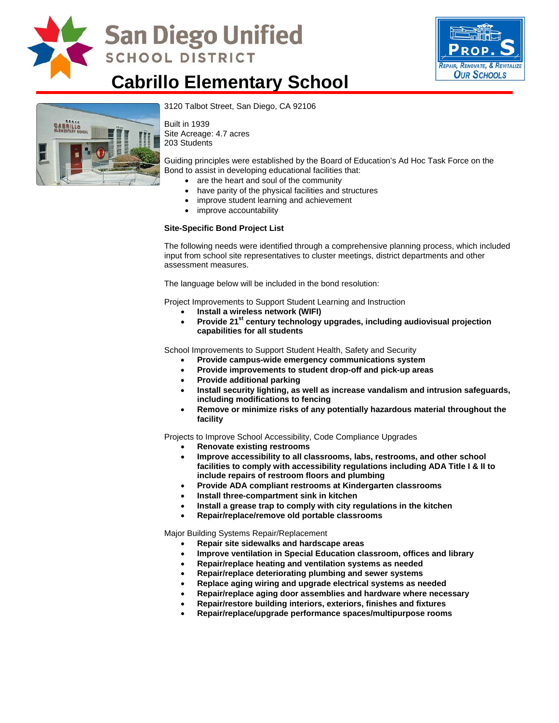

# **San Diego Unified SCHOOL DISTRICT**



## **Cabrillo Elementary School**



3120 Talbot Street, San Diego, CA 92106

Built in 1939 Site Acreage: 4.7 acres 203 Students

Guiding principles were established by the Board of Education's Ad Hoc Task Force on the Bond to assist in developing educational facilities that:

- are the heart and soul of the community
- have parity of the physical facilities and structures
- improve student learning and achievement
- improve accountability

#### **Site-Specific Bond Project List**

The following needs were identified through a comprehensive planning process, which included input from school site representatives to cluster meetings, district departments and other assessment measures.

The language below will be included in the bond resolution:

Project Improvements to Support Student Learning and Instruction

- **Install a wireless network (WIFI)**
- Provide 21<sup>st</sup> century technology upgrades, including audiovisual projection **capabilities for all students**

School Improvements to Support Student Health, Safety and Security

- **Provide campus-wide emergency communications system**
- **Provide improvements to student drop-off and pick-up areas**
- **Provide additional parking**
- **Install security lighting, as well as increase vandalism and intrusion safeguards, including modifications to fencing**
- **Remove or minimize risks of any potentially hazardous material throughout the facility**

Projects to Improve School Accessibility, Code Compliance Upgrades

- **Renovate existing restrooms**
- **Improve accessibility to all classrooms, labs, restrooms, and other school facilities to comply with accessibility regulations including ADA Title I & II to include repairs of restroom floors and plumbing**
- **Provide ADA compliant restrooms at Kindergarten classrooms**
- **Install three-compartment sink in kitchen**
- **Install a grease trap to comply with city regulations in the kitchen**
- **Repair/replace/remove old portable classrooms**

Major Building Systems Repair/Replacement

- **Repair site sidewalks and hardscape areas**
- **Improve ventilation in Special Education classroom, offices and library**
- **Repair/replace heating and ventilation systems as needed**
- **Repair/replace deteriorating plumbing and sewer systems**
- **Replace aging wiring and upgrade electrical systems as needed**
- **Repair/replace aging door assemblies and hardware where necessary**
- **Repair/restore building interiors, exteriors, finishes and fixtures**
- **Repair/replace/upgrade performance spaces/multipurpose rooms**